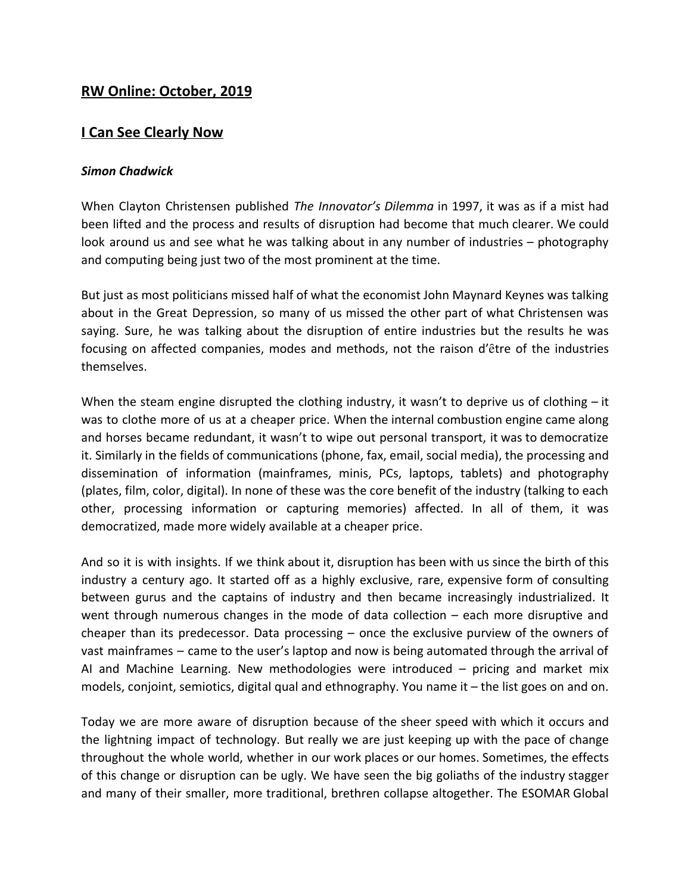## **RW Online: October, 2019**

## **I Can See Clearly Now**

## *Simon Chadwick*

When Clayton Christensen published *The Innovator's Dilemma* in 1997, it was as if a mist had been lifted and the process and results of disruption had become that much clearer. We could look around us and see what he was talking about in any number of industries – photography and computing being just two of the most prominent at the time.

But just as most politicians missed half of what the economist John Maynard Keynes was talking about in the Great Depression, so many of us missed the other part of what Christensen was saying. Sure, he was talking about the disruption of entire industries but the results he was focusing on affected companies, modes and methods, not the raison d'être of the industries themselves.

When the steam engine disrupted the clothing industry, it wasn't to deprive us of clothing – it was to clothe more of us at a cheaper price. When the internal combustion engine came along and horses became redundant, it wasn't to wipe out personal transport, it was to democratize it. Similarly in the fields of communications (phone, fax, email, social media), the processing and dissemination of information (mainframes, minis, PCs, laptops, tablets) and photography (plates, film, color, digital). In none of these was the core benefit of the industry (talking to each other, processing information or capturing memories) affected. In all of them, it was democratized, made more widely available at a cheaper price.

And so it is with insights. If we think about it, disruption has been with us since the birth of this industry a century ago. It started off as a highly exclusive, rare, expensive form of consulting between gurus and the captains of industry and then became increasingly industrialized. It went through numerous changes in the mode of data collection – each more disruptive and cheaper than its predecessor. Data processing – once the exclusive purview of the owners of vast mainframes – came to the user's laptop and now is being automated through the arrival of AI and Machine Learning. New methodologies were introduced – pricing and market mix models, conjoint, semiotics, digital qual and ethnography. You name it – the list goes on and on.

Today we are more aware of disruption because of the sheer speed with which it occurs and the lightning impact of technology. But really we are just keeping up with the pace of change throughout the whole world, whether in our work places or our homes. Sometimes, the effects of this change or disruption can be ugly. We have seen the big goliaths of the industry stagger and many of their smaller, more traditional, brethren collapse altogether. The ESOMAR Global